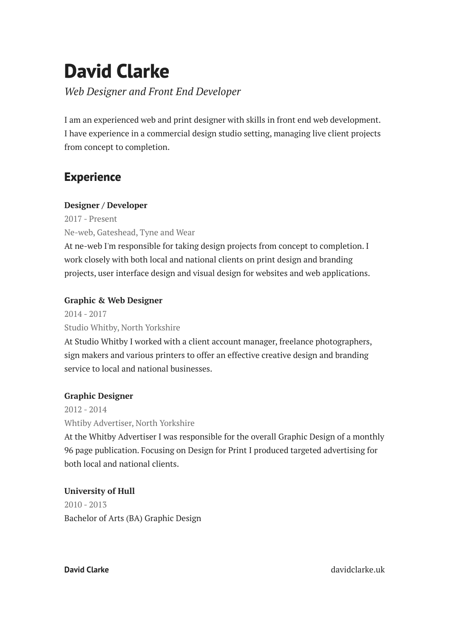# **David Clarke**

*Web Designer and Front End Developer*

I am an experienced web and print designer with skills in front end web development. I have experience in a commercial design studio setting, managing live client projects from concept to completion.

# **Experience**

### **Designer / Developer**

2017 - Present Ne-web, Gateshead, Tyne and Wear

At ne-web I'm responsible for taking design projects from concept to completion. I work closely with both local and national clients on print design and branding projects, user interface design and visual design for websites and web applications.

## **Graphic & Web Designer**

2014 - 2017 Studio Whitby, North Yorkshire At Studio Whitby I worked with a client account manager, freelance photographers, sign makers and various printers to offer an effective creative design and branding service to local and national businesses.

## **Graphic Designer**

2012 - 2014 Whtiby Advertiser, North Yorkshire

At the Whitby Advertiser I was responsible for the overall Graphic Design of a monthly 96 page publication. Focusing on Design for Print I produced targeted advertising for both local and national clients.

## **University of Hull**

2010 - 2013 Bachelor of Arts (BA) Graphic Design

**David Clarke** david Clarke david Clarke.